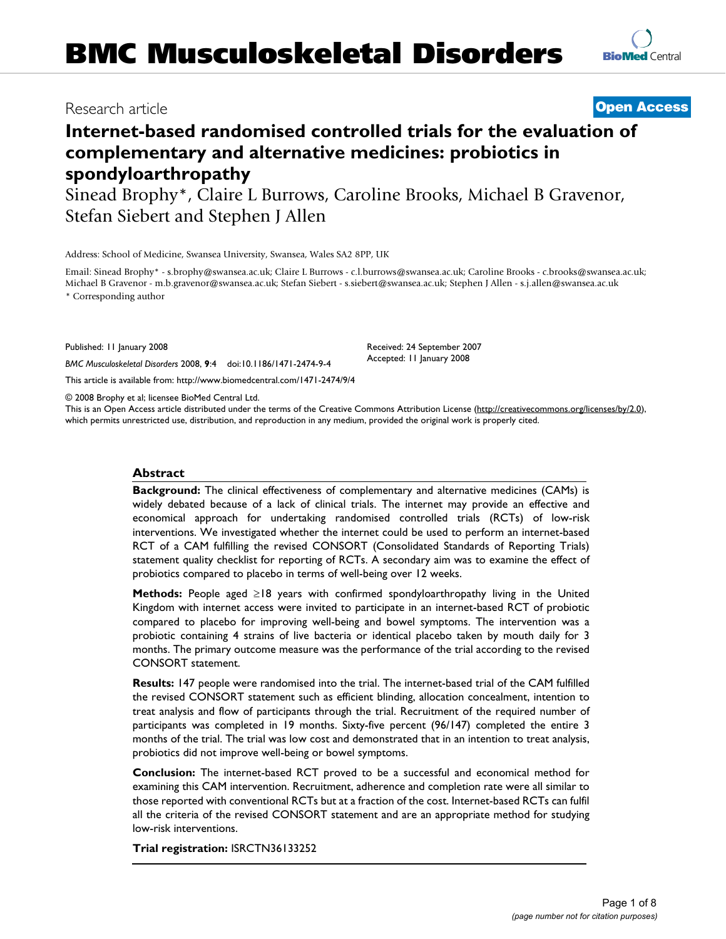# Research article **[Open Access](http://www.biomedcentral.com/info/about/charter/)**

# **Internet-based randomised controlled trials for the evaluation of complementary and alternative medicines: probiotics in spondyloarthropathy**

Sinead Brophy\*, Claire L Burrows, Caroline Brooks, Michael B Gravenor, Stefan Siebert and Stephen J Allen

Address: School of Medicine, Swansea University, Swansea, Wales SA2 8PP, UK

Email: Sinead Brophy\* - s.brophy@swansea.ac.uk; Claire L Burrows - c.l.burrows@swansea.ac.uk; Caroline Brooks - c.brooks@swansea.ac.uk; Michael B Gravenor - m.b.gravenor@swansea.ac.uk; Stefan Siebert - s.siebert@swansea.ac.uk; Stephen J Allen - s.j.allen@swansea.ac.uk \* Corresponding author

Published: 11 January 2008

*BMC Musculoskeletal Disorders* 2008, **9**:4 doi:10.1186/1471-2474-9-4

[This article is available from: http://www.biomedcentral.com/1471-2474/9/4](http://www.biomedcentral.com/1471-2474/9/4)

© 2008 Brophy et al; licensee BioMed Central Ltd.

This is an Open Access article distributed under the terms of the Creative Commons Attribution License [\(http://creativecommons.org/licenses/by/2.0\)](http://creativecommons.org/licenses/by/2.0), which permits unrestricted use, distribution, and reproduction in any medium, provided the original work is properly cited.

# **Abstract**

**Background:** The clinical effectiveness of complementary and alternative medicines (CAMs) is widely debated because of a lack of clinical trials. The internet may provide an effective and economical approach for undertaking randomised controlled trials (RCTs) of low-risk interventions. We investigated whether the internet could be used to perform an internet-based RCT of a CAM fulfilling the revised CONSORT (Consolidated Standards of Reporting Trials) statement quality checklist for reporting of RCTs. A secondary aim was to examine the effect of probiotics compared to placebo in terms of well-being over 12 weeks.

**Methods:** People aged ≥18 years with confirmed spondyloarthropathy living in the United Kingdom with internet access were invited to participate in an internet-based RCT of probiotic compared to placebo for improving well-being and bowel symptoms. The intervention was a probiotic containing 4 strains of live bacteria or identical placebo taken by mouth daily for 3 months. The primary outcome measure was the performance of the trial according to the revised CONSORT statement.

**Results:** 147 people were randomised into the trial. The internet-based trial of the CAM fulfilled the revised CONSORT statement such as efficient blinding, allocation concealment, intention to treat analysis and flow of participants through the trial. Recruitment of the required number of participants was completed in 19 months. Sixty-five percent (96/147) completed the entire 3 months of the trial. The trial was low cost and demonstrated that in an intention to treat analysis, probiotics did not improve well-being or bowel symptoms.

**Conclusion:** The internet-based RCT proved to be a successful and economical method for examining this CAM intervention. Recruitment, adherence and completion rate were all similar to those reported with conventional RCTs but at a fraction of the cost. Internet-based RCTs can fulfil all the criteria of the revised CONSORT statement and are an appropriate method for studying low-risk interventions.

**Trial registration:** ISRCTN36133252

Received: 24 September 2007

Accepted: 11 January 2008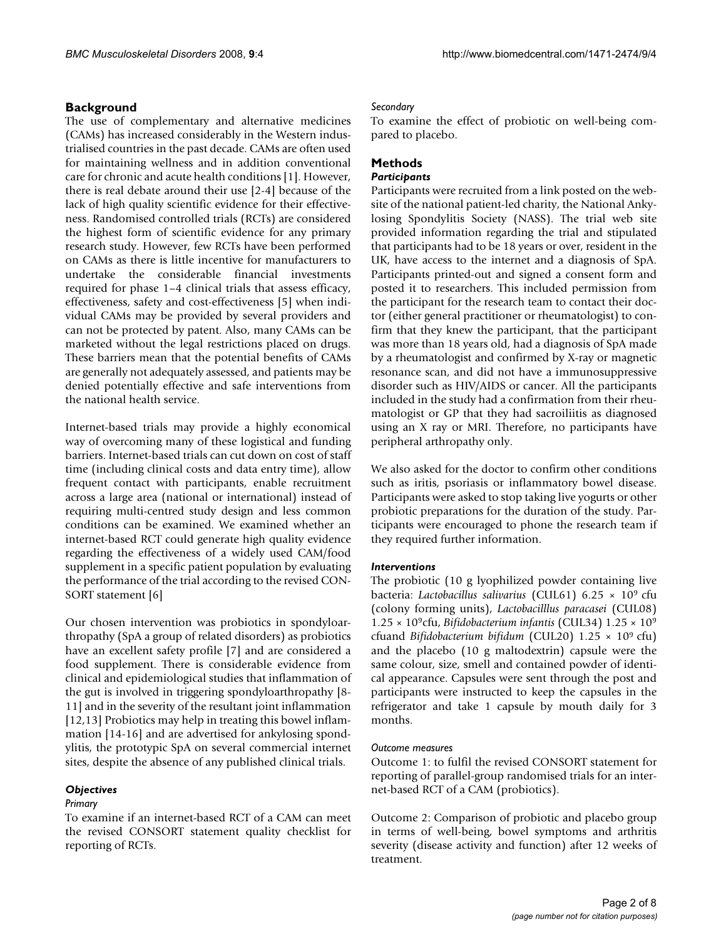#### **Background**

The use of complementary and alternative medicines (CAMs) has increased considerably in the Western industrialised countries in the past decade. CAMs are often used for maintaining wellness and in addition conventional care for chronic and acute health conditions [1]. However, there is real debate around their use [2-4] because of the lack of high quality scientific evidence for their effectiveness. Randomised controlled trials (RCTs) are considered the highest form of scientific evidence for any primary research study. However, few RCTs have been performed on CAMs as there is little incentive for manufacturers to undertake the considerable financial investments required for phase 1–4 clinical trials that assess efficacy, effectiveness, safety and cost-effectiveness [5] when individual CAMs may be provided by several providers and can not be protected by patent. Also, many CAMs can be marketed without the legal restrictions placed on drugs. These barriers mean that the potential benefits of CAMs are generally not adequately assessed, and patients may be denied potentially effective and safe interventions from the national health service.

Internet-based trials may provide a highly economical way of overcoming many of these logistical and funding barriers. Internet-based trials can cut down on cost of staff time (including clinical costs and data entry time), allow frequent contact with participants, enable recruitment across a large area (national or international) instead of requiring multi-centred study design and less common conditions can be examined. We examined whether an internet-based RCT could generate high quality evidence regarding the effectiveness of a widely used CAM/food supplement in a specific patient population by evaluating the performance of the trial according to the revised CON-SORT statement [6]

Our chosen intervention was probiotics in spondyloarthropathy (SpA a group of related disorders) as probiotics have an excellent safety profile [7] and are considered a food supplement. There is considerable evidence from clinical and epidemiological studies that inflammation of the gut is involved in triggering spondyloarthropathy [8- 11] and in the severity of the resultant joint inflammation [12,13] Probiotics may help in treating this bowel inflammation [14-16] and are advertised for ankylosing spondylitis, the prototypic SpA on several commercial internet sites, despite the absence of any published clinical trials.

#### *Objectives*

#### *Primary*

To examine if an internet-based RCT of a CAM can meet the revised CONSORT statement quality checklist for reporting of RCTs.

#### *Secondary*

To examine the effect of probiotic on well-being compared to placebo.

# **Methods**

# *Participants*

Participants were recruited from a link posted on the website of the national patient-led charity, the National Ankylosing Spondylitis Society (NASS). The trial web site provided information regarding the trial and stipulated that participants had to be 18 years or over, resident in the UK, have access to the internet and a diagnosis of SpA. Participants printed-out and signed a consent form and posted it to researchers. This included permission from the participant for the research team to contact their doctor (either general practitioner or rheumatologist) to confirm that they knew the participant, that the participant was more than 18 years old, had a diagnosis of SpA made by a rheumatologist and confirmed by X-ray or magnetic resonance scan, and did not have a immunosuppressive disorder such as HIV/AIDS or cancer. All the participants included in the study had a confirmation from their rheumatologist or GP that they had sacroiliitis as diagnosed using an X ray or MRI. Therefore, no participants have peripheral arthropathy only.

We also asked for the doctor to confirm other conditions such as iritis, psoriasis or inflammatory bowel disease. Participants were asked to stop taking live yogurts or other probiotic preparations for the duration of the study. Participants were encouraged to phone the research team if they required further information.

#### *Interventions*

The probiotic (10 g lyophilized powder containing live bacteria: *Lactobacillus salivarius* (CUL61) 6.25 × 109 cfu (colony forming units), *Lactobacilllus paracasei* (CUL08) 1.25 × 109cfu, *Bifidobacterium infantis* (CUL34) 1.25 × 109 cfuand *Bifidobacterium bifidum* (CUL20) 1.25 × 109 cfu) and the placebo (10 g maltodextrin) capsule were the same colour, size, smell and contained powder of identical appearance. Capsules were sent through the post and participants were instructed to keep the capsules in the refrigerator and take 1 capsule by mouth daily for 3 months.

#### *Outcome measures*

Outcome 1: to fulfil the revised CONSORT statement for reporting of parallel-group randomised trials for an internet-based RCT of a CAM (probiotics).

Outcome 2: Comparison of probiotic and placebo group in terms of well-being, bowel symptoms and arthritis severity (disease activity and function) after 12 weeks of treatment.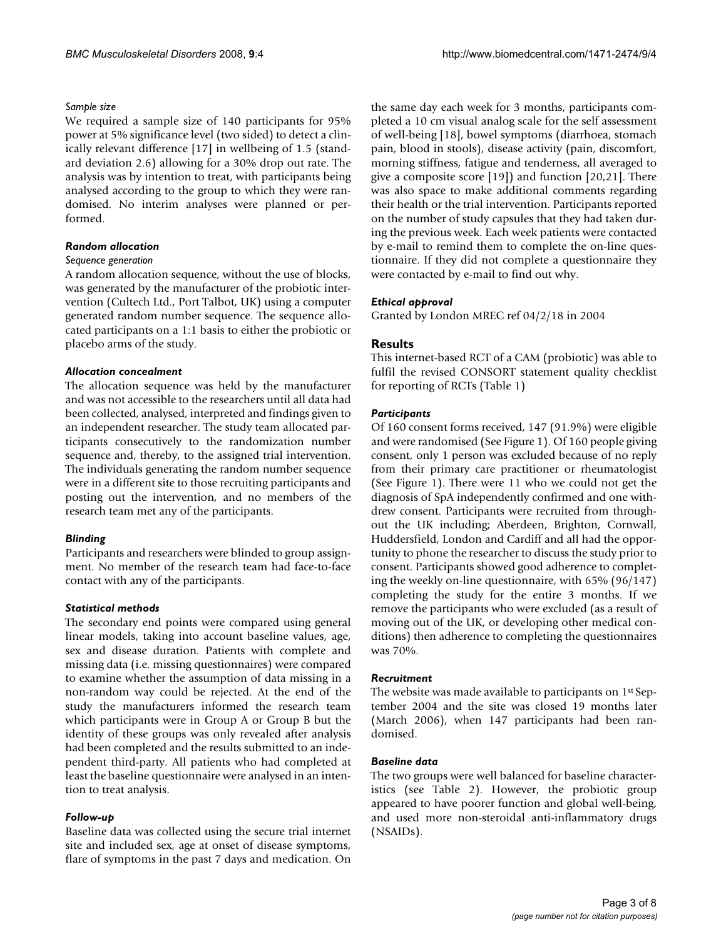#### *Sample size*

We required a sample size of 140 participants for 95% power at 5% significance level (two sided) to detect a clinically relevant difference [17] in wellbeing of 1.5 (standard deviation 2.6) allowing for a 30% drop out rate. The analysis was by intention to treat, with participants being analysed according to the group to which they were randomised. No interim analyses were planned or performed.

#### *Random allocation*

#### *Sequence generation*

A random allocation sequence, without the use of blocks, was generated by the manufacturer of the probiotic intervention (Cultech Ltd., Port Talbot, UK) using a computer generated random number sequence. The sequence allocated participants on a 1:1 basis to either the probiotic or placebo arms of the study.

#### *Allocation concealment*

The allocation sequence was held by the manufacturer and was not accessible to the researchers until all data had been collected, analysed, interpreted and findings given to an independent researcher. The study team allocated participants consecutively to the randomization number sequence and, thereby, to the assigned trial intervention. The individuals generating the random number sequence were in a different site to those recruiting participants and posting out the intervention, and no members of the research team met any of the participants.

#### *Blinding*

Participants and researchers were blinded to group assignment. No member of the research team had face-to-face contact with any of the participants.

#### *Statistical methods*

The secondary end points were compared using general linear models, taking into account baseline values, age, sex and disease duration. Patients with complete and missing data (i.e. missing questionnaires) were compared to examine whether the assumption of data missing in a non-random way could be rejected. At the end of the study the manufacturers informed the research team which participants were in Group A or Group B but the identity of these groups was only revealed after analysis had been completed and the results submitted to an independent third-party. All patients who had completed at least the baseline questionnaire were analysed in an intention to treat analysis.

#### *Follow-up*

Baseline data was collected using the secure trial internet site and included sex, age at onset of disease symptoms, flare of symptoms in the past 7 days and medication. On the same day each week for 3 months, participants completed a 10 cm visual analog scale for the self assessment of well-being [18], bowel symptoms (diarrhoea, stomach pain, blood in stools), disease activity (pain, discomfort, morning stiffness, fatigue and tenderness, all averaged to give a composite score [19]) and function [20,21]. There was also space to make additional comments regarding their health or the trial intervention. Participants reported on the number of study capsules that they had taken during the previous week. Each week patients were contacted by e-mail to remind them to complete the on-line questionnaire. If they did not complete a questionnaire they were contacted by e-mail to find out why.

#### *Ethical approval*

Granted by London MREC ref 04/2/18 in 2004

#### **Results**

This internet-based RCT of a CAM (probiotic) was able to fulfil the revised CONSORT statement quality checklist for reporting of RCTs (Table 1)

#### *Participants*

Of 160 consent forms received, 147 (91.9%) were eligible and were randomised (See Figure 1). Of 160 people giving consent, only 1 person was excluded because of no reply from their primary care practitioner or rheumatologist (See Figure 1). There were 11 who we could not get the diagnosis of SpA independently confirmed and one withdrew consent. Participants were recruited from throughout the UK including; Aberdeen, Brighton, Cornwall, Huddersfield, London and Cardiff and all had the opportunity to phone the researcher to discuss the study prior to consent. Participants showed good adherence to completing the weekly on-line questionnaire, with 65% (96/147) completing the study for the entire 3 months. If we remove the participants who were excluded (as a result of moving out of the UK, or developing other medical conditions) then adherence to completing the questionnaires was 70%.

#### *Recruitment*

The website was made available to participants on 1st September 2004 and the site was closed 19 months later (March 2006), when 147 participants had been randomised.

### *Baseline data*

The two groups were well balanced for baseline characteristics (see Table 2). However, the probiotic group appeared to have poorer function and global well-being, and used more non-steroidal anti-inflammatory drugs (NSAIDs).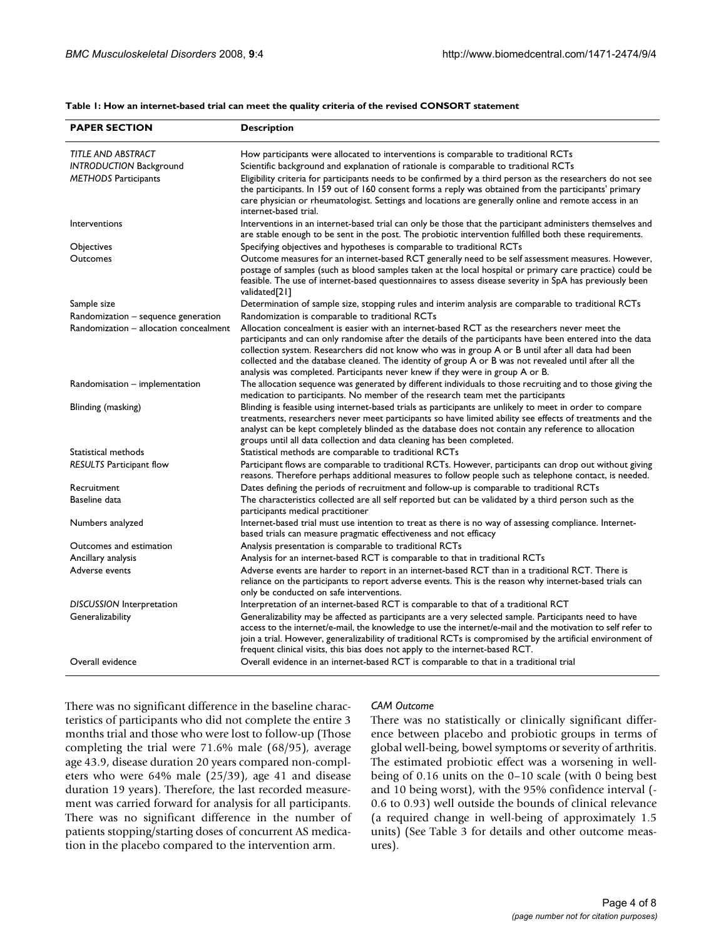| <b>PAPER SECTION</b>                               | <b>Description</b>                                                                                                                                                                                                                                                                                                                                                                                                                                                                                        |
|----------------------------------------------------|-----------------------------------------------------------------------------------------------------------------------------------------------------------------------------------------------------------------------------------------------------------------------------------------------------------------------------------------------------------------------------------------------------------------------------------------------------------------------------------------------------------|
| TITLE AND ABSTRACT                                 | How participants were allocated to interventions is comparable to traditional RCTs                                                                                                                                                                                                                                                                                                                                                                                                                        |
| <b>INTRODUCTION Background</b>                     | Scientific background and explanation of rationale is comparable to traditional RCTs                                                                                                                                                                                                                                                                                                                                                                                                                      |
| <b>METHODS</b> Participants                        | Eligibility criteria for participants needs to be confirmed by a third person as the researchers do not see<br>the participants. In 159 out of 160 consent forms a reply was obtained from the participants' primary<br>care physician or rheumatologist. Settings and locations are generally online and remote access in an<br>internet-based trial.                                                                                                                                                    |
| Interventions                                      | Interventions in an internet-based trial can only be those that the participant administers themselves and<br>are stable enough to be sent in the post. The probiotic intervention fulfilled both these requirements.                                                                                                                                                                                                                                                                                     |
| Objectives                                         | Specifying objectives and hypotheses is comparable to traditional RCTs                                                                                                                                                                                                                                                                                                                                                                                                                                    |
| Outcomes                                           | Outcome measures for an internet-based RCT generally need to be self assessment measures. However,<br>postage of samples (such as blood samples taken at the local hospital or primary care practice) could be<br>feasible. The use of internet-based questionnaires to assess disease severity in SpA has previously been<br>validated[21]                                                                                                                                                               |
| Sample size<br>Randomization - sequence generation | Determination of sample size, stopping rules and interim analysis are comparable to traditional RCTs<br>Randomization is comparable to traditional RCTs                                                                                                                                                                                                                                                                                                                                                   |
| Randomization - allocation concealment             | Allocation concealment is easier with an internet-based RCT as the researchers never meet the<br>participants and can only randomise after the details of the participants have been entered into the data<br>collection system. Researchers did not know who was in group A or B until after all data had been<br>collected and the database cleaned. The identity of group A or B was not revealed until after all the<br>analysis was completed. Participants never knew if they were in group A or B. |
| Randomisation – implementation                     | The allocation sequence was generated by different individuals to those recruiting and to those giving the<br>medication to participants. No member of the research team met the participants                                                                                                                                                                                                                                                                                                             |
| Blinding (masking)                                 | Blinding is feasible using internet-based trials as participants are unlikely to meet in order to compare<br>treatments, researchers never meet participants so have limited ability see effects of treatments and the<br>analyst can be kept completely blinded as the database does not contain any reference to allocation<br>groups until all data collection and data cleaning has been completed.                                                                                                   |
| Statistical methods                                | Statistical methods are comparable to traditional RCTs                                                                                                                                                                                                                                                                                                                                                                                                                                                    |
| <b>RESULTS Participant flow</b>                    | Participant flows are comparable to traditional RCTs. However, participants can drop out without giving<br>reasons. Therefore perhaps additional measures to follow people such as telephone contact, is needed.                                                                                                                                                                                                                                                                                          |
| Recruitment                                        | Dates defining the periods of recruitment and follow-up is comparable to traditional RCTs                                                                                                                                                                                                                                                                                                                                                                                                                 |
| Baseline data                                      | The characteristics collected are all self reported but can be validated by a third person such as the<br>participants medical practitioner                                                                                                                                                                                                                                                                                                                                                               |
| Numbers analyzed                                   | Internet-based trial must use intention to treat as there is no way of assessing compliance. Internet-<br>based trials can measure pragmatic effectiveness and not efficacy                                                                                                                                                                                                                                                                                                                               |
| Outcomes and estimation                            | Analysis presentation is comparable to traditional RCTs                                                                                                                                                                                                                                                                                                                                                                                                                                                   |
| Ancillary analysis                                 | Analysis for an internet-based RCT is comparable to that in traditional RCTs                                                                                                                                                                                                                                                                                                                                                                                                                              |
| Adverse events                                     | Adverse events are harder to report in an internet-based RCT than in a traditional RCT. There is<br>reliance on the participants to report adverse events. This is the reason why internet-based trials can<br>only be conducted on safe interventions.                                                                                                                                                                                                                                                   |
| DISCUSSION Interpretation                          | Interpretation of an internet-based RCT is comparable to that of a traditional RCT                                                                                                                                                                                                                                                                                                                                                                                                                        |
| Generalizability                                   | Generalizability may be affected as participants are a very selected sample. Participants need to have<br>access to the internet/e-mail, the knowledge to use the internet/e-mail and the motivation to self refer to<br>join a trial. However, generalizability of traditional RCTs is compromised by the artificial environment of<br>frequent clinical visits, this bias does not apply to the internet-based RCT.                                                                                     |

#### **Table 1: How an internet-based trial can meet the quality criteria of the revised CONSORT statement**

There was no significant difference in the baseline characteristics of participants who did not complete the entire 3 months trial and those who were lost to follow-up (Those completing the trial were 71.6% male (68/95), average age 43.9, disease duration 20 years compared non-completers who were 64% male (25/39), age 41 and disease duration 19 years). Therefore, the last recorded measurement was carried forward for analysis for all participants. There was no significant difference in the number of patients stopping/starting doses of concurrent AS medication in the placebo compared to the intervention arm.

#### *CAM Outcome*

Overall evidence Overall evidence in an internet-based RCT is comparable to that in a traditional trial

There was no statistically or clinically significant difference between placebo and probiotic groups in terms of global well-being, bowel symptoms or severity of arthritis. The estimated probiotic effect was a worsening in wellbeing of 0.16 units on the 0–10 scale (with 0 being best and 10 being worst), with the 95% confidence interval (- 0.6 to 0.93) well outside the bounds of clinical relevance (a required change in well-being of approximately 1.5 units) (See Table 3 for details and other outcome measures).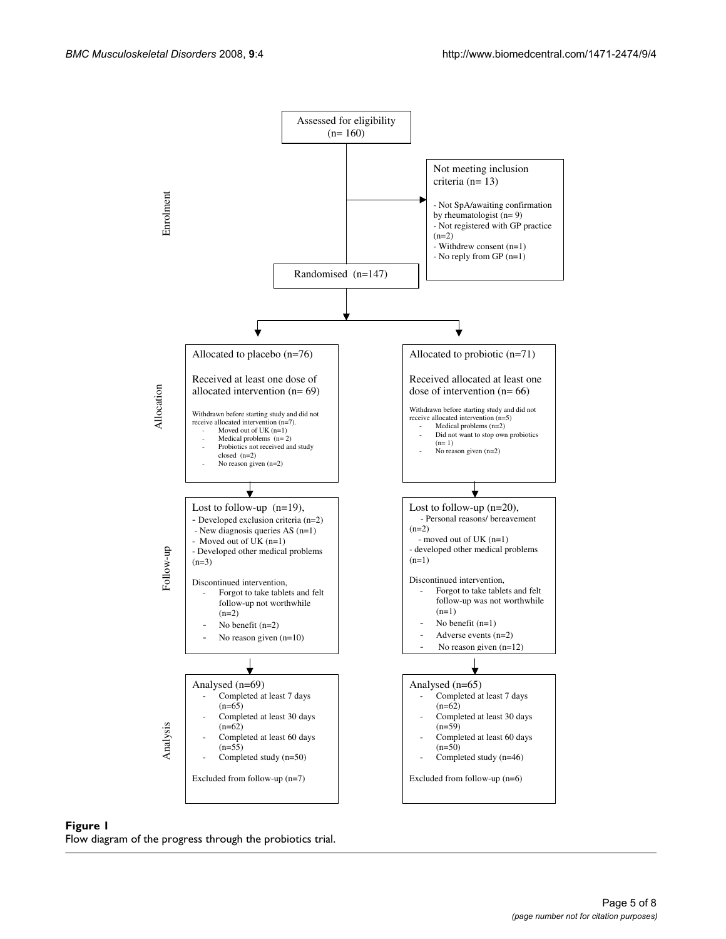

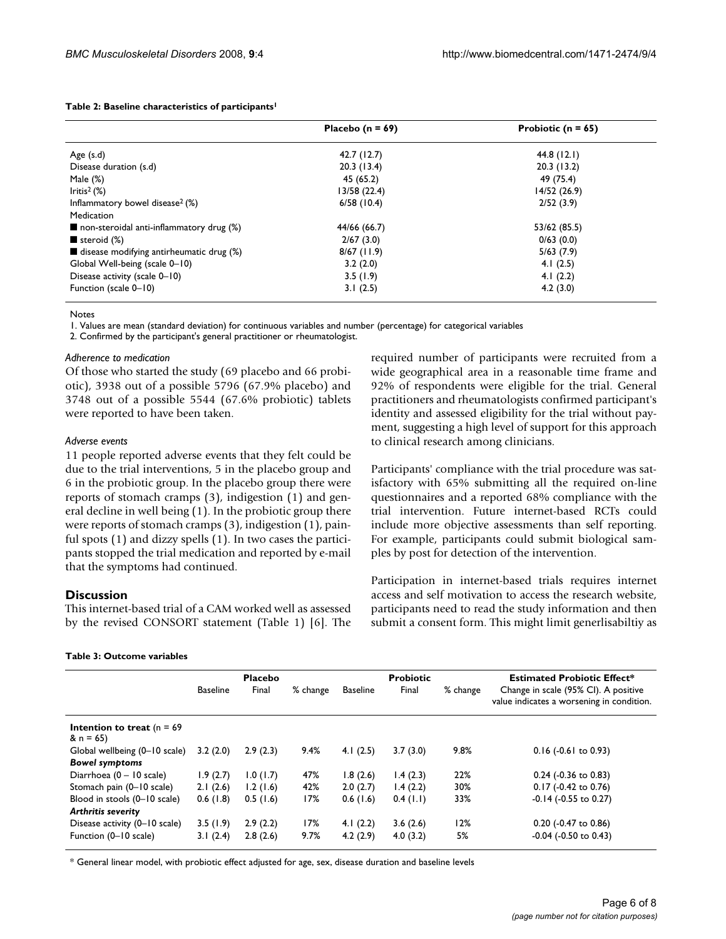|                                                         | Placebo ( $n = 69$ ) | Probiotic ( $n = 65$ ) |  |
|---------------------------------------------------------|----------------------|------------------------|--|
| Age $(s.d)$                                             | 42.7(12.7)           | 44.8 $(12.1)$          |  |
| Disease duration (s.d)                                  | 20.3(13.4)           | 20.3(13.2)             |  |
| Male $(\%)$                                             | 45(65.2)             | 49 (75.4)              |  |
| Iritis <sup>2</sup> $(%)$                               | 13/58 (22.4)         | 14/52(26.9)            |  |
| Inflammatory bowel disease <sup>2</sup> (%)             | $6/58$ (10.4)        | 2/52(3.9)              |  |
| Medication                                              |                      |                        |  |
| non-steroidal anti-inflammatory drug $(\%)$             | 44/66 (66.7)         | 53/62 (85.5)           |  |
| steroid $(\%)$                                          | 2/67(3.0)            | 0/63(0.0)              |  |
| $\blacksquare$ disease modifying antirheumatic drug (%) | $8/67$ (11.9)        | 5/63(7.9)              |  |
| Global Well-being (scale 0-10)                          | 3.2(2.0)             | 4.1 $(2.5)$            |  |
| Disease activity (scale 0-10)                           | 3.5(1.9)             | 4.1 $(2.2)$            |  |
| Function (scale 0-10)                                   | 3.1(2.5)             | 4.2(3.0)               |  |

#### **Table 2: Baseline characteristics of participants1**

Notes

1. Values are mean (standard deviation) for continuous variables and number (percentage) for categorical variables

2. Confirmed by the participant's general practitioner or rheumatologist.

#### *Adherence to medication*

Of those who started the study (69 placebo and 66 probiotic), 3938 out of a possible 5796 (67.9% placebo) and 3748 out of a possible 5544 (67.6% probiotic) tablets were reported to have been taken.

#### *Adverse events*

11 people reported adverse events that they felt could be due to the trial interventions, 5 in the placebo group and 6 in the probiotic group. In the placebo group there were reports of stomach cramps (3), indigestion (1) and general decline in well being (1). In the probiotic group there were reports of stomach cramps (3), indigestion (1), painful spots (1) and dizzy spells (1). In two cases the participants stopped the trial medication and reported by e-mail that the symptoms had continued.

#### **Discussion**

This internet-based trial of a CAM worked well as assessed by the revised CONSORT statement (Table 1) [6]. The

#### **Table 3: Outcome variables**

required number of participants were recruited from a wide geographical area in a reasonable time frame and 92% of respondents were eligible for the trial. General practitioners and rheumatologists confirmed participant's identity and assessed eligibility for the trial without payment, suggesting a high level of support for this approach to clinical research among clinicians.

Participants' compliance with the trial procedure was satisfactory with 65% submitting all the required on-line questionnaires and a reported 68% compliance with the trial intervention. Future internet-based RCTs could include more objective assessments than self reporting. For example, participants could submit biological samples by post for detection of the intervention.

Participation in internet-based trials requires internet access and self motivation to access the research website, participants need to read the study information and then submit a consent form. This might limit generlisabiltiy as

|                                                   |                 | <b>Placebo</b> |          |                 | <b>Probiotic</b> | <b>Estimated Probiotic Effect*</b> |                                                                                   |
|---------------------------------------------------|-----------------|----------------|----------|-----------------|------------------|------------------------------------|-----------------------------------------------------------------------------------|
|                                                   | <b>Baseline</b> | Final          | % change | <b>Baseline</b> | Final            | % change                           | Change in scale (95% CI). A positive<br>value indicates a worsening in condition. |
| <b>Intention to treat</b> $(n = 69$<br>$8 n = 65$ |                 |                |          |                 |                  |                                    |                                                                                   |
| Global wellbeing (0-10 scale)                     | 3.2(2.0)        | 2.9(2.3)       | 9.4%     | 4.1 $(2.5)$     | 3.7(3.0)         | 9.8%                               | $0.16$ (-0.61 to 0.93)                                                            |
| <b>Bowel symptoms</b>                             |                 |                |          |                 |                  |                                    |                                                                                   |
| Diarrhoea $(0 - 10$ scale)                        | 1.9(2.7)        | 1.0(1.7)       | 47%      | 1.8(2.6)        | 1.4(2.3)         | 22%                                | $0.24$ (-0.36 to 0.83)                                                            |
| Stomach pain (0-10 scale)                         | 2.1(2.6)        | 1.2(1.6)       | 42%      | 2.0(2.7)        | 1.4(2.2)         | 30%                                | $0.17$ (-0.42 to 0.76)                                                            |
| Blood in stools (0-10 scale)                      | 0.6(1.8)        | 0.5(1.6)       | 17%      | 0.6(1.6)        | 0.4(1.1)         | 33%                                | $-0.14$ ( $-0.55$ to 0.27)                                                        |
| <b>Arthritis severity</b>                         |                 |                |          |                 |                  |                                    |                                                                                   |
| Disease activity (0-10 scale)                     | 3.5(1.9)        | 2.9(2.2)       | 17%      | 4.1 $(2.2)$     | 3.6(2.6)         | 12%                                | $0.20$ (-0.47 to 0.86)                                                            |
| Function (0-10 scale)                             | 3.1(2.4)        | 2.8(2.6)       | 9.7%     | 4.2(2.9)        | 4.0(3.2)         | 5%                                 | $-0.04$ ( $-0.50$ to 0.43)                                                        |

\* General linear model, with probiotic effect adjusted for age, sex, disease duration and baseline levels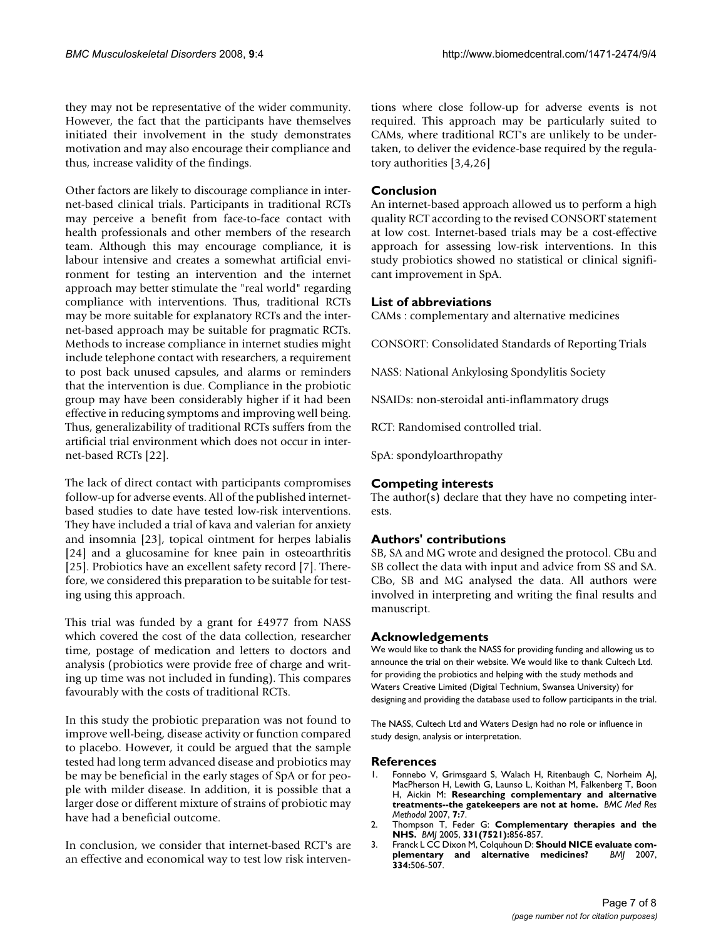they may not be representative of the wider community. However, the fact that the participants have themselves initiated their involvement in the study demonstrates motivation and may also encourage their compliance and thus, increase validity of the findings.

Other factors are likely to discourage compliance in internet-based clinical trials. Participants in traditional RCTs may perceive a benefit from face-to-face contact with health professionals and other members of the research team. Although this may encourage compliance, it is labour intensive and creates a somewhat artificial environment for testing an intervention and the internet approach may better stimulate the "real world" regarding compliance with interventions. Thus, traditional RCTs may be more suitable for explanatory RCTs and the internet-based approach may be suitable for pragmatic RCTs. Methods to increase compliance in internet studies might include telephone contact with researchers, a requirement to post back unused capsules, and alarms or reminders that the intervention is due. Compliance in the probiotic group may have been considerably higher if it had been effective in reducing symptoms and improving well being. Thus, generalizability of traditional RCTs suffers from the artificial trial environment which does not occur in internet-based RCTs [22].

The lack of direct contact with participants compromises follow-up for adverse events. All of the published internetbased studies to date have tested low-risk interventions. They have included a trial of kava and valerian for anxiety and insomnia [23], topical ointment for herpes labialis [24] and a glucosamine for knee pain in osteoarthritis [25]. Probiotics have an excellent safety record [7]. Therefore, we considered this preparation to be suitable for testing using this approach.

This trial was funded by a grant for £4977 from NASS which covered the cost of the data collection, researcher time, postage of medication and letters to doctors and analysis (probiotics were provide free of charge and writing up time was not included in funding). This compares favourably with the costs of traditional RCTs.

In this study the probiotic preparation was not found to improve well-being, disease activity or function compared to placebo. However, it could be argued that the sample tested had long term advanced disease and probiotics may be may be beneficial in the early stages of SpA or for people with milder disease. In addition, it is possible that a larger dose or different mixture of strains of probiotic may have had a beneficial outcome.

In conclusion, we consider that internet-based RCT's are an effective and economical way to test low risk interventions where close follow-up for adverse events is not required. This approach may be particularly suited to CAMs, where traditional RCT's are unlikely to be undertaken, to deliver the evidence-base required by the regulatory authorities [3,4,26]

# **Conclusion**

An internet-based approach allowed us to perform a high quality RCT according to the revised CONSORT statement at low cost. Internet-based trials may be a cost-effective approach for assessing low-risk interventions. In this study probiotics showed no statistical or clinical significant improvement in SpA.

# **List of abbreviations**

CAMs : complementary and alternative medicines

CONSORT: Consolidated Standards of Reporting Trials

NASS: National Ankylosing Spondylitis Society

NSAIDs: non-steroidal anti-inflammatory drugs

RCT: Randomised controlled trial.

SpA: spondyloarthropathy

# **Competing interests**

The author(s) declare that they have no competing interests.

# **Authors' contributions**

SB, SA and MG wrote and designed the protocol. CBu and SB collect the data with input and advice from SS and SA. CBo, SB and MG analysed the data. All authors were involved in interpreting and writing the final results and manuscript.

#### **Acknowledgements**

We would like to thank the NASS for providing funding and allowing us to announce the trial on their website. We would like to thank Cultech Ltd. for providing the probiotics and helping with the study methods and Waters Creative Limited (Digital Technium, Swansea University) for designing and providing the database used to follow participants in the trial.

The NASS, Cultech Ltd and Waters Design had no role or influence in study design, analysis or interpretation.

#### **References**

- 1. Fonnebo V, Grimsgaard S, Walach H, Ritenbaugh C, Norheim AJ, MacPherson H, Lewith G, Launso L, Koithan M, Falkenberg T, Boon H, Aickin M: **[Researching complementary and alternative](http://www.ncbi.nlm.nih.gov/entrez/query.fcgi?cmd=Retrieve&db=PubMed&dopt=Abstract&list_uids=17291355) [treatments--the gatekeepers are not at home.](http://www.ncbi.nlm.nih.gov/entrez/query.fcgi?cmd=Retrieve&db=PubMed&dopt=Abstract&list_uids=17291355)** *BMC Med Res Methodol* 2007, **7:**7.
- 2. Thompson T, Feder G: **[Complementary therapies and the](http://www.ncbi.nlm.nih.gov/entrez/query.fcgi?cmd=Retrieve&db=PubMed&dopt=Abstract&list_uids=16223798) [NHS.](http://www.ncbi.nlm.nih.gov/entrez/query.fcgi?cmd=Retrieve&db=PubMed&dopt=Abstract&list_uids=16223798)** *BMJ* 2005, **331(7521):**856-857.
- 3. Franck L CC Dixon M, Colquhoun D: **[Should NICE evaluate com](http://www.ncbi.nlm.nih.gov/entrez/query.fcgi?cmd=Retrieve&db=PubMed&dopt=Abstract&list_uids=17347233)**and alternative medicines? **334:**506-507.